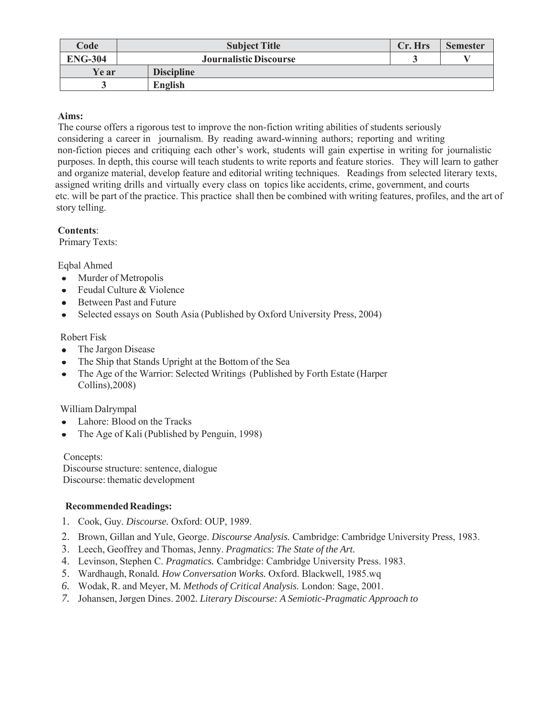| Code           | <b>Subject Title</b>          | Cr. Hrs | <b>Semester</b> |
|----------------|-------------------------------|---------|-----------------|
| <b>ENG-304</b> | <b>Journalistic Discourse</b> |         |                 |
| Ye ar          | <b>Discipline</b>             |         |                 |
|                | English                       |         |                 |

# **Aims:**

 The course offers a rigorous test to improve the non-fiction writing abilities of students seriously considering a career in journalism. By reading award-winning authors; reporting and writing non-fiction pieces and critiquing each other's work, students will gain expertise in writing for journalistic purposes. In depth, this course will teach students to write reports and feature stories. They will learn to gather and organize material, develop feature and editorial writing techniques. Readings from selected literary texts, assigned writing drills and virtually every class on topics like accidents, crime, government, and courts etc. will be part of the practice. This practice shall then be combined with writing features, profiles, and the art of story telling.

## **Contents**:

Primary Texts:

Eqbal Ahmed

- Murder of Metropolis
- Feudal Culture & Violence
- Between Past and Future  $\bullet$
- Selected essays on South Asia (Published by Oxford University Press, 2004)

## Robert Fisk

- The Jargon Disease
- The Ship that Stands Upright at the Bottom of the Sea
- The Age of the Warrior: Selected Writings (Published by Forth Estate (Harper Collins),2008)

William Dalrympal

- Lahore: Blood on the Tracks
- The Age of Kali (Published by Penguin, 1998)  $\bullet$

Concepts: Discourse structure: sentence, dialogue Discourse: thematic development

## **Recommended Readings:**

- 1. Cook, Guy. *Discourse.* Oxford: OUP, 1989.
- 2. Brown, Gillan and Yule, George. *Discourse Analysis.* Cambridge: Cambridge University Press, 1983.
- 3. Leech, Geoffrey and Thomas, Jenny. *Pragmatics*: *The State of the Art.*
- 4. Levinson, Stephen C. *Pragmatics.* Cambridge: Cambridge University Press. 1983.
- 5. Wardhaugh, Ronald*. How Conversation Works.* Oxford. Blackwell, 1985.wq
- *6.* Wodak, R. and Meyer, M*. Methods of Critical Analysis.* London: Sage, 2001.
- *7.* Johansen, Jørgen Dines. 2002*. Literary Discourse: A Semiotic-Pragmatic Approach to*